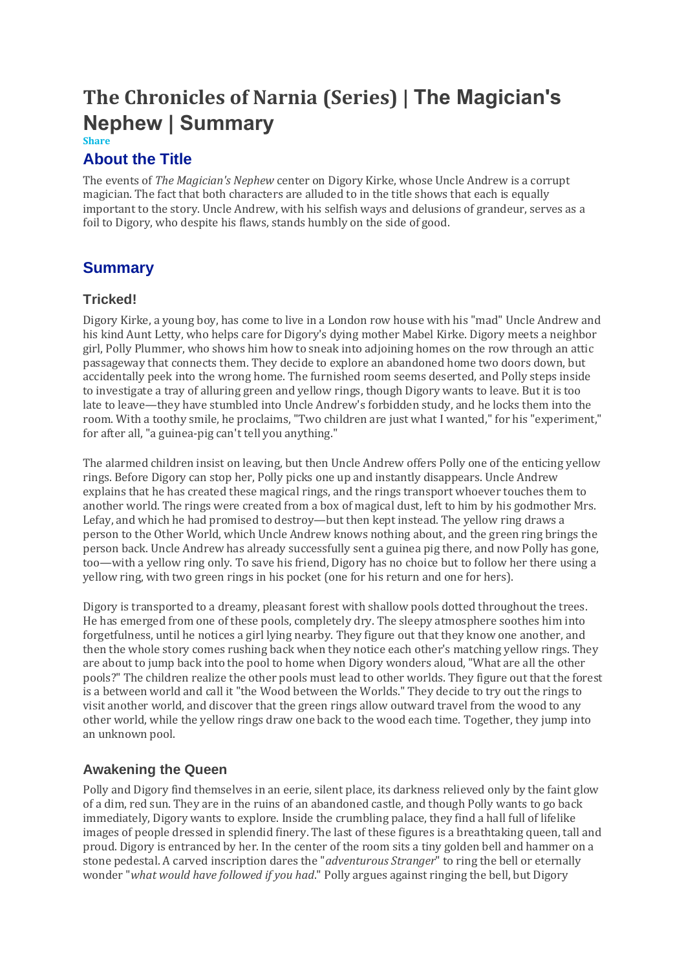# **The Chronicles of Narnia (Series) | The Magician's Nephew | Summary**

**Share**

#### **About the Title**

The events of *The Magician's Nephew* center on Digory Kirke, whose Uncle Andrew is a corrupt magician. The fact that both characters are alluded to in the title shows that each is equally important to the story. Uncle Andrew, with his selfish ways and delusions of grandeur, serves as a foil to Digory, who despite his flaws, stands humbly on the side of good.

## **Summary**

#### **Tricked!**

Digory Kirke, a young boy, has come to live in a London row house with his "mad" Uncle Andrew and his kind Aunt Letty, who helps care for Digory's dying mother Mabel Kirke. Digory meets a neighbor girl, Polly Plummer, who shows him how to sneak into adjoining homes on the row through an attic passageway that connects them. They decide to explore an abandoned home two doors down, but accidentally peek into the wrong home. The furnished room seems deserted, and Polly steps inside to investigate a tray of alluring green and yellow rings, though Digory wants to leave. But it is too late to leave—they have stumbled into Uncle Andrew's forbidden study, and he locks them into the room. With a toothy smile, he proclaims, "Two children are just what I wanted," for his "experiment," for after all, "a guinea-pig can't tell you anything."

The alarmed children insist on leaving, but then Uncle Andrew offers Polly one of the enticing yellow rings. Before Digory can stop her, Polly picks one up and instantly disappears. Uncle Andrew explains that he has created these magical rings, and the rings transport whoever touches them to another world. The rings were created from a box of magical dust, left to him by his godmother Mrs. Lefay, and which he had promised to destroy—but then kept instead. The yellow ring draws a person to the Other World, which Uncle Andrew knows nothing about, and the green ring brings the person back. Uncle Andrew has already successfully sent a guinea pig there, and now Polly has gone, too—with a yellow ring only. To save his friend, Digory has no choice but to follow her there using a yellow ring, with two green rings in his pocket (one for his return and one for hers).

Digory is transported to a dreamy, pleasant forest with shallow pools dotted throughout the trees. He has emerged from one of these pools, completely dry. The sleepy atmosphere soothes him into forgetfulness, until he notices a girl lying nearby. They figure out that they know one another, and then the whole story comes rushing back when they notice each other's matching yellow rings. They are about to jump back into the pool to home when Digory wonders aloud, "What are all the other pools?" The children realize the other pools must lead to other worlds. They figure out that the forest is a between world and call it "the Wood between the Worlds." They decide to try out the rings to visit another world, and discover that the green rings allow outward travel from the wood to any other world, while the yellow rings draw one back to the wood each time. Together, they jump into an unknown pool.

#### **Awakening the Queen**

Polly and Digory find themselves in an eerie, silent place, its darkness relieved only by the faint glow of a dim, red sun. They are in the ruins of an abandoned castle, and though Polly wants to go back immediately, Digory wants to explore. Inside the crumbling palace, they find a hall full of lifelike images of people dressed in splendid finery. The last of these figures is a breathtaking queen, tall and proud. Digory is entranced by her. In the center of the room sits a tiny golden bell and hammer on a stone pedestal. A carved inscription dares the "*adventurous Stranger*" to ring the bell or eternally wonder "*what would have followed if you had*." Polly argues against ringing the bell, but Digory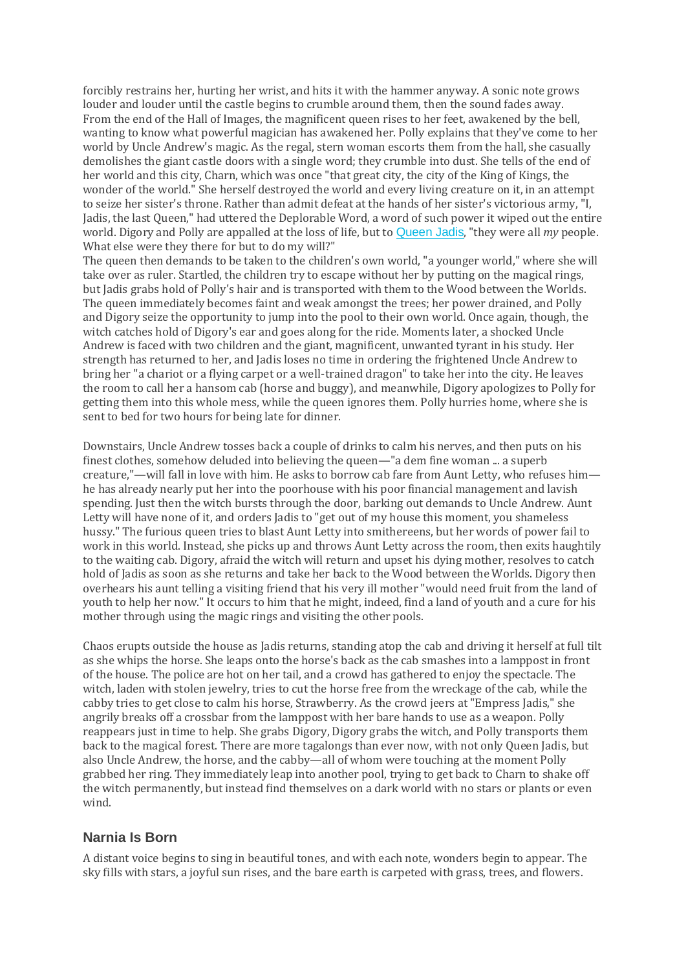forcibly restrains her, hurting her wrist, and hits it with the hammer anyway. A sonic note grows louder and louder until the castle begins to crumble around them, then the sound fades away. From the end of the Hall of Images, the magnificent queen rises to her feet, awakened by the bell, wanting to know what powerful magician has awakened her. Polly explains that they've come to her world by Uncle Andrew's magic. As the regal, stern woman escorts them from the hall, she casually demolishes the giant castle doors with a single word; they crumble into dust. She tells of the end of her world and this city, Charn, which was once "that great city, the city of the King of Kings, the wonder of the world." She herself destroyed the world and every living creature on it, in an attempt to seize her sister's throne. Rather than admit defeat at the hands of her sister's victorious army, "I, Jadis, the last Queen," had uttered the Deplorable Word, a word of such power it wiped out the entire world. Digory and Polly are appalled at the loss of life, but to [Queen](https://www.coursehero.com/lit/The-Chronicles-of-Narnia-Series/character-analysis/#Queen_Jadis) Jadis, "they were all *my* people. What else were they there for but to do my will?"

The queen then demands to be taken to the children's own world, "a younger world," where she will take over as ruler. Startled, the children try to escape without her by putting on the magical rings, but Jadis grabs hold of Polly's hair and is transported with them to the Wood between the Worlds. The queen immediately becomes faint and weak amongst the trees; her power drained, and Polly and Digory seize the opportunity to jump into the pool to their own world. Once again, though, the witch catches hold of Digory's ear and goes along for the ride. Moments later, a shocked Uncle Andrew is faced with two children and the giant, magnificent, unwanted tyrant in his study. Her strength has returned to her, and Jadis loses no time in ordering the frightened Uncle Andrew to bring her "a chariot or a flying carpet or a well-trained dragon" to take her into the city. He leaves the room to call her a hansom cab (horse and buggy), and meanwhile, Digory apologizes to Polly for getting them into this whole mess, while the queen ignores them. Polly hurries home, where she is sent to bed for two hours for being late for dinner.

Downstairs, Uncle Andrew tosses back a couple of drinks to calm his nerves, and then puts on his finest clothes, somehow deluded into believing the queen—"a dem fine woman ... a superb creature,"—will fall in love with him. He asks to borrow cab fare from Aunt Letty, who refuses him he has already nearly put her into the poorhouse with his poor financial management and lavish spending. Just then the witch bursts through the door, barking out demands to Uncle Andrew. Aunt Letty will have none of it, and orders Jadis to "get out of my house this moment, you shameless hussy." The furious queen tries to blast Aunt Letty into smithereens, but her words of power fail to work in this world. Instead, she picks up and throws Aunt Letty across the room, then exits haughtily to the waiting cab. Digory, afraid the witch will return and upset his dying mother, resolves to catch hold of Jadis as soon as she returns and take her back to the Wood between the Worlds. Digory then overhears his aunt telling a visiting friend that his very ill mother "would need fruit from the land of youth to help her now." It occurs to him that he might, indeed, find a land of youth and a cure for his mother through using the magic rings and visiting the other pools.

Chaos erupts outside the house as Jadis returns, standing atop the cab and driving it herself at full tilt as she whips the horse. She leaps onto the horse's back as the cab smashes into a lamppost in front of the house. The police are hot on her tail, and a crowd has gathered to enjoy the spectacle. The witch, laden with stolen jewelry, tries to cut the horse free from the wreckage of the cab, while the cabby tries to get close to calm his horse, Strawberry. As the crowd jeers at "Empress Jadis," she angrily breaks off a crossbar from the lamppost with her bare hands to use as a weapon. Polly reappears just in time to help. She grabs Digory, Digory grabs the witch, and Polly transports them back to the magical forest. There are more tagalongs than ever now, with not only Queen Jadis, but also Uncle Andrew, the horse, and the cabby—all of whom were touching at the moment Polly grabbed her ring. They immediately leap into another pool, trying to get back to Charn to shake off the witch permanently, but instead find themselves on a dark world with no stars or plants or even wind.

#### **Narnia Is Born**

A distant voice begins to sing in beautiful tones, and with each note, wonders begin to appear. The sky fills with stars, a joyful sun rises, and the bare earth is carpeted with grass, trees, and flowers.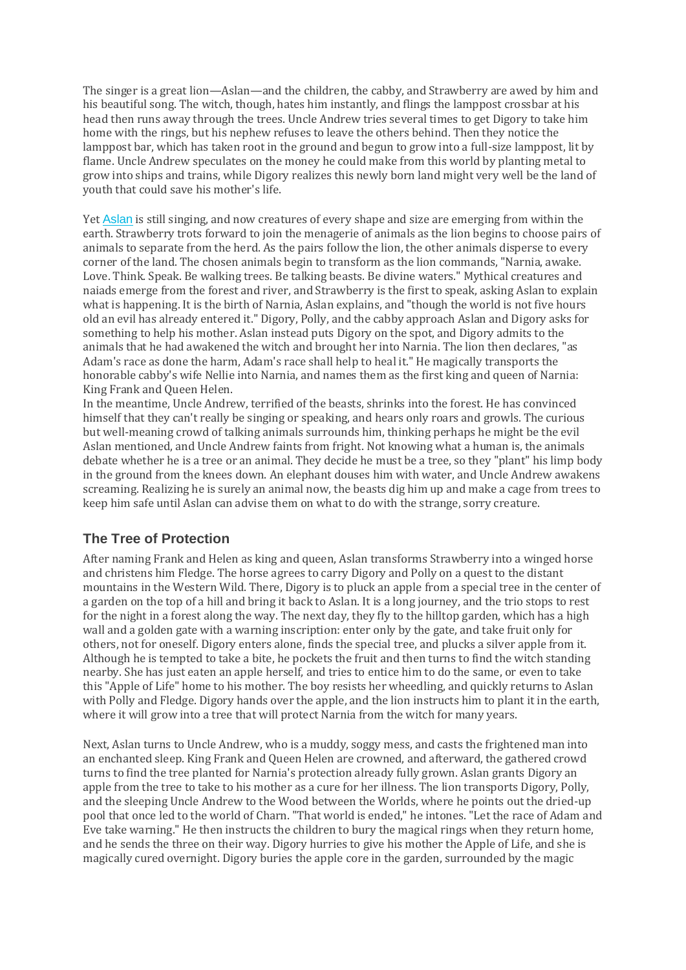The singer is a great lion—Aslan—and the children, the cabby, and Strawberry are awed by him and his beautiful song. The witch, though, hates him instantly, and flings the lamppost crossbar at his head then runs away through the trees. Uncle Andrew tries several times to get Digory to take him home with the rings, but his nephew refuses to leave the others behind. Then they notice the lamppost bar, which has taken root in the ground and begun to grow into a full-size lamppost, lit by flame. Uncle Andrew speculates on the money he could make from this world by planting metal to grow into ships and trains, while Digory realizes this newly born land might very well be the land of youth that could save his mother's life.

Yet [Aslan](https://www.coursehero.com/lit/The-Chronicles-of-Narnia-Series/character-analysis/#Aslan) is still singing, and now creatures of every shape and size are emerging from within the earth. Strawberry trots forward to join the menagerie of animals as the lion begins to choose pairs of animals to separate from the herd. As the pairs follow the lion, the other animals disperse to every corner of the land. The chosen animals begin to transform as the lion commands, "Narnia, awake. Love. Think. Speak. Be walking trees. Be talking beasts. Be divine waters." Mythical creatures and naiads emerge from the forest and river, and Strawberry is the first to speak, asking Aslan to explain what is happening. It is the birth of Narnia, Aslan explains, and "though the world is not five hours old an evil has already entered it." Digory, Polly, and the cabby approach Aslan and Digory asks for something to help his mother. Aslan instead puts Digory on the spot, and Digory admits to the animals that he had awakened the witch and brought her into Narnia. The lion then declares, "as Adam's race as done the harm, Adam's race shall help to heal it." He magically transports the honorable cabby's wife Nellie into Narnia, and names them as the first king and queen of Narnia: King Frank and Queen Helen.

In the meantime, Uncle Andrew, terrified of the beasts, shrinks into the forest. He has convinced himself that they can't really be singing or speaking, and hears only roars and growls. The curious but well-meaning crowd of talking animals surrounds him, thinking perhaps he might be the evil Aslan mentioned, and Uncle Andrew faints from fright. Not knowing what a human is, the animals debate whether he is a tree or an animal. They decide he must be a tree, so they "plant" his limp body in the ground from the knees down. An elephant douses him with water, and Uncle Andrew awakens screaming. Realizing he is surely an animal now, the beasts dig him up and make a cage from trees to keep him safe until Aslan can advise them on what to do with the strange, sorry creature.

### **The Tree of Protection**

After naming Frank and Helen as king and queen, Aslan transforms Strawberry into a winged horse and christens him Fledge. The horse agrees to carry Digory and Polly on a quest to the distant mountains in the Western Wild. There, Digory is to pluck an apple from a special tree in the center of a garden on the top of a hill and bring it back to Aslan. It is a long journey, and the trio stops to rest for the night in a forest along the way. The next day, they fly to the hilltop garden, which has a high wall and a golden gate with a warning inscription: enter only by the gate, and take fruit only for others, not for oneself. Digory enters alone, finds the special tree, and plucks a silver apple from it. Although he is tempted to take a bite, he pockets the fruit and then turns to find the witch standing nearby. She has just eaten an apple herself, and tries to entice him to do the same, or even to take this "Apple of Life" home to his mother. The boy resists her wheedling, and quickly returns to Aslan with Polly and Fledge. Digory hands over the apple, and the lion instructs him to plant it in the earth, where it will grow into a tree that will protect Narnia from the witch for many years.

Next, Aslan turns to Uncle Andrew, who is a muddy, soggy mess, and casts the frightened man into an enchanted sleep. King Frank and Queen Helen are crowned, and afterward, the gathered crowd turns to find the tree planted for Narnia's protection already fully grown. Aslan grants Digory an apple from the tree to take to his mother as a cure for her illness. The lion transports Digory, Polly, and the sleeping Uncle Andrew to the Wood between the Worlds, where he points out the dried-up pool that once led to the world of Charn. "That world is ended," he intones. "Let the race of Adam and Eve take warning." He then instructs the children to bury the magical rings when they return home, and he sends the three on their way. Digory hurries to give his mother the Apple of Life, and she is magically cured overnight. Digory buries the apple core in the garden, surrounded by the magic